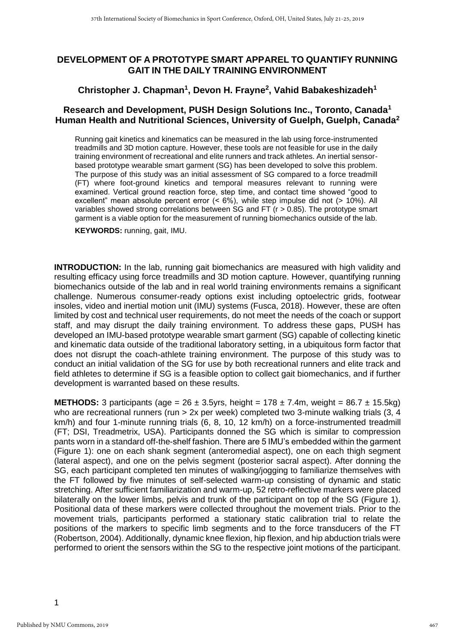# **DEVELOPMENT OF A PROTOTYPE SMART APPAREL TO QUANTIFY RUNNING GAIT IN THE DAILY TRAINING ENVIRONMENT**

# **Christopher J. Chapman<sup>1</sup> , Devon H. Frayne<sup>2</sup> , Vahid Babakeshizadeh<sup>1</sup>**

### **Research and Development, PUSH Design Solutions Inc., Toronto, Canada<sup>1</sup> Human Health and Nutritional Sciences, University of Guelph, Guelph, Canada<sup>2</sup>**

Running gait kinetics and kinematics can be measured in the lab using force-instrumented treadmills and 3D motion capture. However, these tools are not feasible for use in the daily training environment of recreational and elite runners and track athletes. An inertial sensorbased prototype wearable smart garment (SG) has been developed to solve this problem. The purpose of this study was an initial assessment of SG compared to a force treadmill (FT) where foot-ground kinetics and temporal measures relevant to running were examined. Vertical ground reaction force, step time, and contact time showed "good to excellent" mean absolute percent error (< 6%), while step impulse did not (> 10%). All variables showed strong correlations between SG and FT (r > 0.85). The prototype smart garment is a viable option for the measurement of running biomechanics outside of the lab.

**KEYWORDS:** running, gait, IMU.

**INTRODUCTION:** In the lab, running gait biomechanics are measured with high validity and resulting efficacy using force treadmills and 3D motion capture. However, quantifying running biomechanics outside of the lab and in real world training environments remains a significant challenge. Numerous consumer-ready options exist including optoelectric grids, footwear insoles, video and inertial motion unit (IMU) systems (Fusca, 2018). However, these are often limited by cost and technical user requirements, do not meet the needs of the coach or support staff, and may disrupt the daily training environment. To address these gaps, PUSH has developed an IMU-based prototype wearable smart garment (SG) capable of collecting kinetic and kinematic data outside of the traditional laboratory setting, in a ubiquitous form factor that does not disrupt the coach-athlete training environment. The purpose of this study was to conduct an initial validation of the SG for use by both recreational runners and elite track and field athletes to determine if SG is a feasible option to collect gait biomechanics, and if further development is warranted based on these results.

**METHODS:** 3 participants (age =  $26 \pm 3.5$ yrs, height =  $178 \pm 7.4$ m, weight =  $86.7 \pm 15.5$ kg) who are recreational runners (run > 2x per week) completed two 3-minute walking trials (3, 4 km/h) and four 1-minute running trials (6, 8, 10, 12 km/h) on a force-instrumented treadmill (FT; DSI, Treadmetrix, USA). Participants donned the SG which is similar to compression pants worn in a standard off-the-shelf fashion. There are 5 IMU's embedded within the garment (Figure 1): one on each shank segment (anteromedial aspect), one on each thigh segment (lateral aspect), and one on the pelvis segment (posterior sacral aspect). After donning the SG, each participant completed ten minutes of walking/jogging to familiarize themselves with the FT followed by five minutes of self-selected warm-up consisting of dynamic and static stretching. After sufficient familiarization and warm-up, 52 retro-reflective markers were placed bilaterally on the lower limbs, pelvis and trunk of the participant on top of the SG (Figure 1). Positional data of these markers were collected throughout the movement trials. Prior to the movement trials, participants performed a stationary static calibration trial to relate the positions of the markers to specific limb segments and to the force transducers of the FT (Robertson, 2004). Additionally, dynamic knee flexion, hip flexion, and hip abduction trials were performed to orient the sensors within the SG to the respective joint motions of the participant.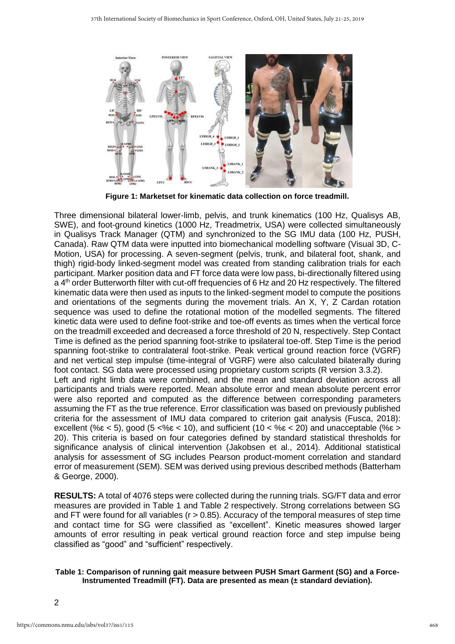

**Figure 1: Marketset for kinematic data collection on force treadmill.**

Three dimensional bilateral lower-limb, pelvis, and trunk kinematics (100 Hz, Qualisys AB, SWE), and foot-ground kinetics (1000 Hz, Treadmetrix, USA) were collected simultaneously in Qualisys Track Manager (QTM) and synchronized to the SG IMU data (100 Hz, PUSH, Canada). Raw QTM data were inputted into biomechanical modelling software (Visual 3D, C-Motion, USA) for processing. A seven-segment (pelvis, trunk, and bilateral foot, shank, and thigh) rigid-body linked-segment model was created from standing calibration trials for each participant. Marker position data and FT force data were low pass, bi-directionally filtered using a 4<sup>th</sup> order Butterworth filter with cut-off frequencies of 6 Hz and 20 Hz respectively. The filtered kinematic data were then used as inputs to the linked-segment model to compute the positions and orientations of the segments during the movement trials. An X, Y, Z Cardan rotation sequence was used to define the rotational motion of the modelled segments. The filtered kinetic data were used to define foot-strike and toe-off events as times when the vertical force on the treadmill exceeded and decreased a force threshold of 20 N, respectively. Step Contact Time is defined as the period spanning foot-strike to ipsilateral toe-off. Step Time is the period spanning foot-strike to contralateral foot-strike. Peak vertical ground reaction force (VGRF) and net vertical step impulse (time-integral of VGRF) were also calculated bilaterally during foot contact. SG data were processed using proprietary custom scripts (R version 3.3.2). Left and right limb data were combined, and the mean and standard deviation across all participants and trials were reported. Mean absolute error and mean absolute percent error were also reported and computed as the difference between corresponding parameters assuming the FT as the true reference. Error classification was based on previously published criteria for the assessment of IMU data compared to criterion gait analysis (Fusca, 2018): excellent (% $\varepsilon$  < 5), good (5 <% $\varepsilon$  < 10), and sufficient (10 < % $\varepsilon$  < 20) and unacceptable (% $\varepsilon$  > 20). This criteria is based on four categories defined by standard statistical thresholds for significance analysis of clinical intervention (Jakobsen et al., 2014). Additional statistical analysis for assessment of SG includes Pearson product-moment correlation and standard error of measurement (SEM). SEM was derived using previous described methods (Batterham

**RESULTS:** A total of 4076 steps were collected during the running trials. SG/FT data and error measures are provided in Table 1 and Table 2 respectively. Strong correlations between SG and FT were found for all variables ( $r > 0.85$ ). Accuracy of the temporal measures of step time and contact time for SG were classified as "excellent". Kinetic measures showed larger amounts of error resulting in peak vertical ground reaction force and step impulse being classified as "good" and "sufficient" respectively.

#### **Table 1: Comparison of running gait measure between PUSH Smart Garment (SG) and a Force-Instrumented Treadmill (FT). Data are presented as mean (± standard deviation).**

& George, 2000).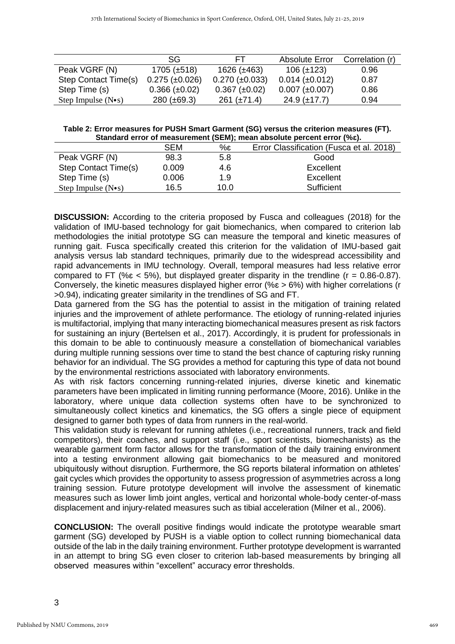|                            | SG.                   | FТ                    | <b>Absolute Error</b> | Correlation (r) |
|----------------------------|-----------------------|-----------------------|-----------------------|-----------------|
| Peak VGRF (N)              | $1705 (\pm 518)$      | 1626 (±463)           | $106 (\pm 123)$       | 0.96            |
| Step Contact Time(s)       | $0.275 \ (\pm 0.026)$ | $0.270 \ (\pm 0.033)$ | $0.014 \ (\pm 0.012)$ | 0.87            |
| Step Time (s)              | $0.366 (\pm 0.02)$    | $0.367 (\pm 0.02)$    | $0.007 \ (\pm 0.007)$ | 0.86            |
| Step Impulse $(N \cdot s)$ | $280 (\pm 69.3)$      | $261 (\pm 71.4)$      | $24.9 \ (\pm 17.7)$   | 0.94            |

**Table 2: Error measures for PUSH Smart Garment (SG) versus the criterion measures (FT). Standard error of measurement (SEM); mean absolute percent error (%ɛ).**

|                            | <b>SEM</b> | $\%$ ε | Error Classification (Fusca et al. 2018) |  |  |
|----------------------------|------------|--------|------------------------------------------|--|--|
| Peak VGRF (N)              | 98.3       | 5.8    | Good                                     |  |  |
| Step Contact Time(s)       | 0.009      | 4.6    | Excellent                                |  |  |
| Step Time (s)              | 0.006      | 1.9    | Excellent                                |  |  |
| Step Impulse $(N \cdot s)$ | 16.5       | 10.0   | Sufficient                               |  |  |

**DISCUSSION:** According to the criteria proposed by Fusca and colleagues (2018) for the validation of IMU-based technology for gait biomechanics, when compared to criterion lab methodologies the initial prototype SG can measure the temporal and kinetic measures of running gait. Fusca specifically created this criterion for the validation of IMU-based gait analysis versus lab standard techniques, primarily due to the widespread accessibility and rapid advancements in IMU technology. Overall, temporal measures had less relative error compared to FT (% $\varepsilon$  < 5%), but displayed greater disparity in the trendline ( $r = 0.86 - 0.87$ ). Conversely, the kinetic measures displayed higher error (% $\epsilon > 6$ %) with higher correlations (r >0.94), indicating greater similarity in the trendlines of SG and FT.

Data garnered from the SG has the potential to assist in the mitigation of training related injuries and the improvement of athlete performance. The etiology of running-related injuries is multifactorial, implying that many interacting biomechanical measures present as risk factors for sustaining an injury (Bertelsen et al., 2017). Accordingly, it is prudent for professionals in this domain to be able to continuously measure a constellation of biomechanical variables during multiple running sessions over time to stand the best chance of capturing risky running behavior for an individual. The SG provides a method for capturing this type of data not bound by the environmental restrictions associated with laboratory environments.

As with risk factors concerning running-related injuries, diverse kinetic and kinematic parameters have been implicated in limiting running performance (Moore, 2016). Unlike in the laboratory, where unique data collection systems often have to be synchronized to simultaneously collect kinetics and kinematics, the SG offers a single piece of equipment designed to garner both types of data from runners in the real-world.

This validation study is relevant for running athletes (i.e., recreational runners, track and field competitors), their coaches, and support staff (i.e., sport scientists, biomechanists) as the wearable garment form factor allows for the transformation of the daily training environment into a testing environment allowing gait biomechanics to be measured and monitored ubiquitously without disruption. Furthermore, the SG reports bilateral information on athletes' gait cycles which provides the opportunity to assess progression of asymmetries across a long training session. Future prototype development will involve the assessment of kinematic measures such as lower limb joint angles, vertical and horizontal whole-body center-of-mass displacement and injury-related measures such as tibial acceleration (Milner et al., 2006).

**CONCLUSION:** The overall positive findings would indicate the prototype wearable smart garment (SG) developed by PUSH is a viable option to collect running biomechanical data outside of the lab in the daily training environment. Further prototype development is warranted in an attempt to bring SG even closer to criterion lab-based measurements by bringing all observed measures within "excellent" accuracy error thresholds.